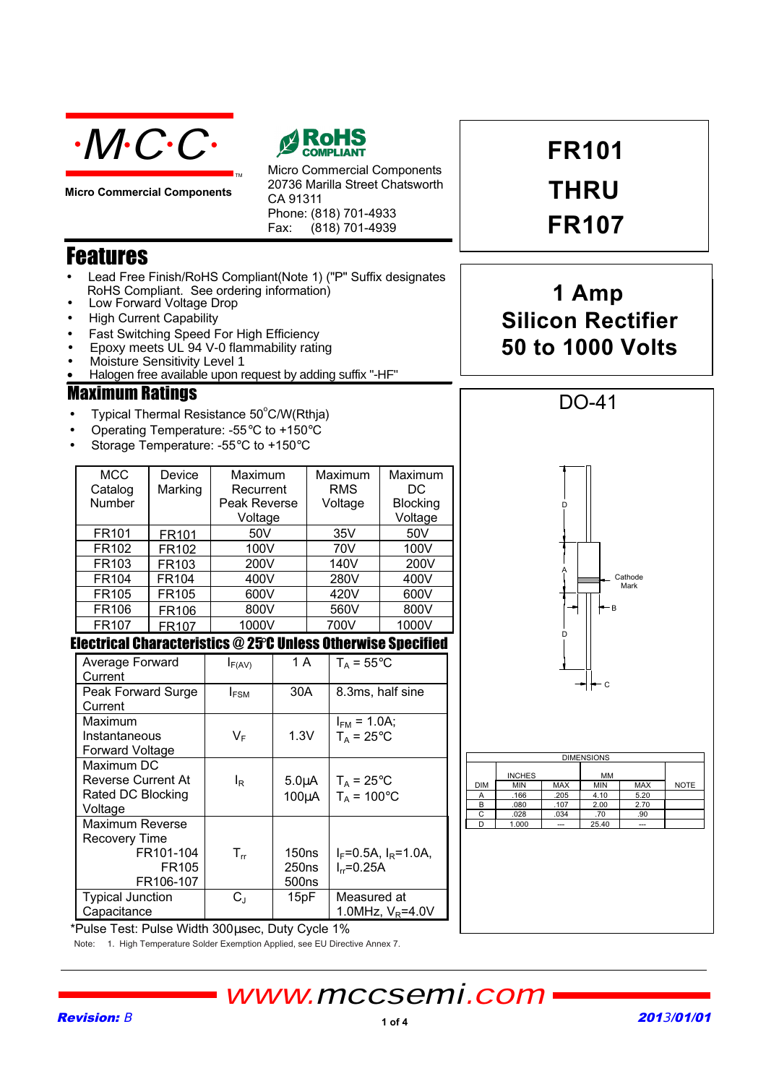

**Micro Commercial Components** 



Micro Commercial Components 20736 Marilla Street Chatsworth CA 91311 Phone: (818) 701-4933 Fax: (818) 701-4939

## **Features**

- Lead Free Finish/RoHS Compliant(Note 1) ("P" Suffix designates RoHS Compliant. See ordering information)
- Low Forward Voltage Drop
- **High Current Capability**
- Fast Switching Speed For High Efficiency
- Epoxy meets UL 94 V-0 flammability rating
- Moisture Sensitivity Level 1
- Halogen free available upon request by adding suffix "-HF"

### **Maximum Ratings**

- Typical Thermal Resistance 50°C/W(Rthja)
- Operating Temperature: -55°C to +150°C
- Storage Temperature: -55°C to +150°C

| <b>MCC</b><br>Catalog<br>Number | Device<br>Marking | Maximum<br>Recurrent<br>Peak Reverse<br>Voltage | Maximum<br><b>RMS</b><br>Voltage | Maximum<br>DC<br><b>Blocking</b><br>Voltage |
|---------------------------------|-------------------|-------------------------------------------------|----------------------------------|---------------------------------------------|
| FR101                           | FR101             | 50V                                             | 35V                              | 50V                                         |
| FR102                           | FR102             | 100V                                            | 70V                              | 100V                                        |
| FR103                           | FR103             | 200V                                            | 140V                             | 200V                                        |
| FR104                           | FR104             | 400V                                            | 280V                             | 400V                                        |
| FR105                           | FR105             | 600V                                            | 420V                             | 600V                                        |
| <b>FR106</b>                    | <b>FR106</b>      | 800V                                            | 560V                             | 800V                                        |
| FR <sub>107</sub>               | FR107             | 1000V                                           | 700V                             | 1000V                                       |

### **Electrical Characteristics @ 25°C Unless Otherwise Specified**

| Average Forward<br>Current | $I_{F(AV)}$    | 1 A               | $T_A = 55^{\circ}$ C        |
|----------------------------|----------------|-------------------|-----------------------------|
| Peak Forward Surge         | $I_{FSM}$      | 30A               | 8.3ms, half sine            |
| Current                    |                |                   |                             |
| Maximum                    |                |                   | $I_{FM}$ = 1.0A;            |
| Instantaneous              | $V_F$          | 1.3V              | $T_A = 25$ °C               |
| Forward Voltage            |                |                   |                             |
| Maximum DC                 |                |                   |                             |
| <b>Reverse Current At</b>  | l <sub>R</sub> | $5.0\muA$         | $T_A = 25^{\circ}C$         |
| Rated DC Blocking          |                | $100\mu A$        | $T_A = 100^{\circ}$ C       |
| Voltage                    |                |                   |                             |
| Maximum Reverse            |                |                   |                             |
| <b>Recovery Time</b>       |                |                   |                             |
| FR101-104                  | $T_{rr}$       | 150ns             | $I_F = 0.5A$ , $I_R = 1.0A$ |
| FR <sub>105</sub>          |                | 250ns             | $I_{rr} = 0.25A$            |
| FR106-107                  |                | 500 <sub>ns</sub> |                             |
| <b>Typical Junction</b>    | $C_{\rm J}$    | 15pF              | Measured at                 |
| Capacitance                |                |                   | 1.0MHz, $V_R$ =4.0V         |

**FR101 THRU FR107** 

# 1 Amp **Silicon Rectifier 50 to 1000 Volts**



\*Pulse Test: Pulse Width 300usec, Duty Cycle 1% Note: 1. High Temperature Solder Exemption Applied, see EU Directive Annex 7.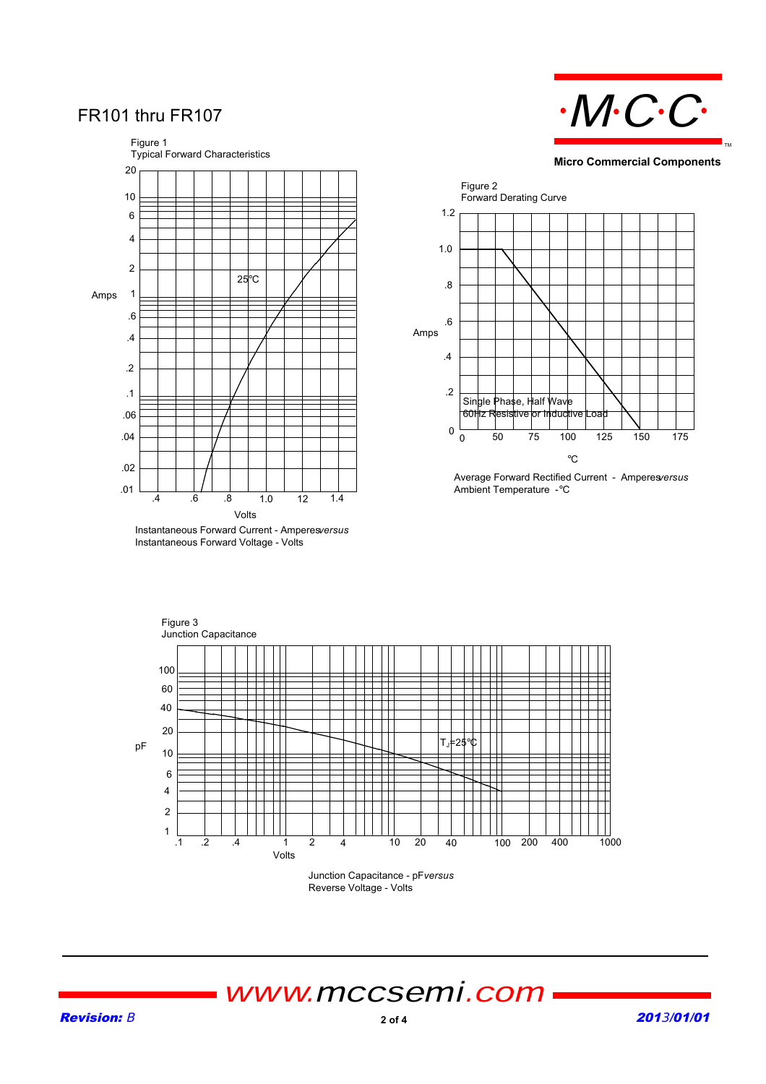## FR101 thru FR107



Instantaneous Forward Voltage - Volts



**Micro Commercial Components**



Average Forward Rectified Current - Amperes *versus* Ambient Temperature - °C



Reverse Voltage - Volts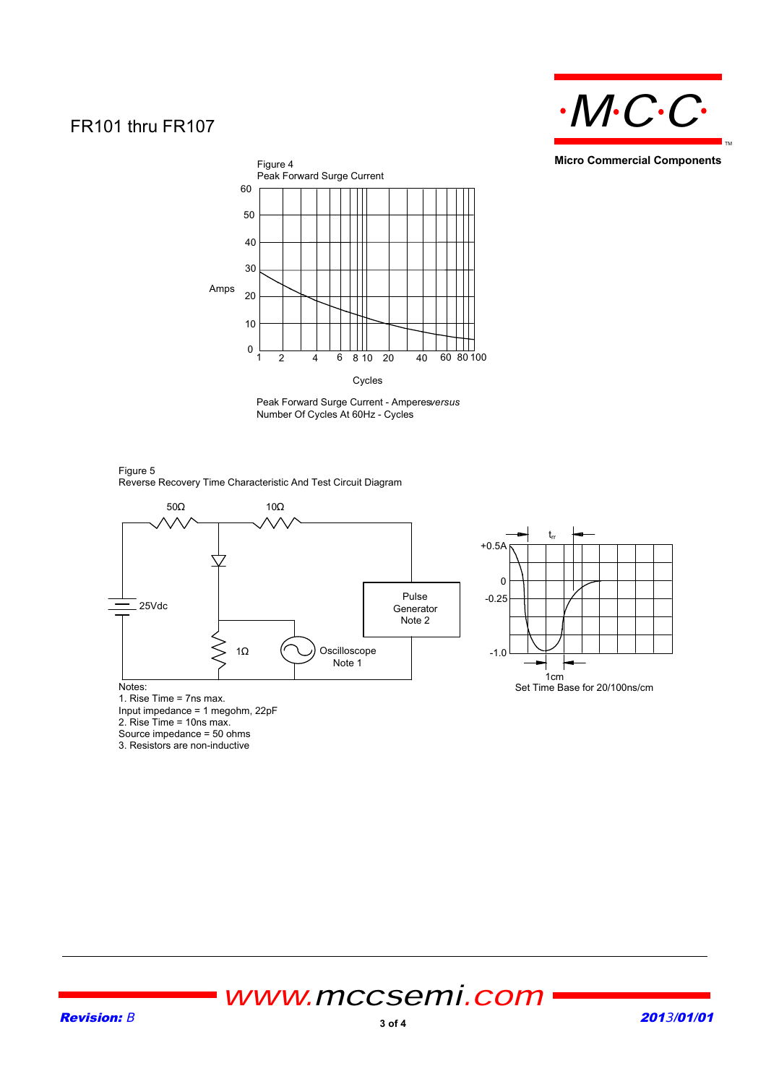## FR101 thru FR107



**Micro Commercial Components**



Cycles

Peak Forward Surge Current - Amperesversus Number Of Cycles At 60Hz - Cycles







1. Rise Time = 7ns max. Input impedance = 1 megohm, 22pF

2. Rise Time = 10ns max.

Source impedance = 50 ohms

3. Resistors are non-inductive